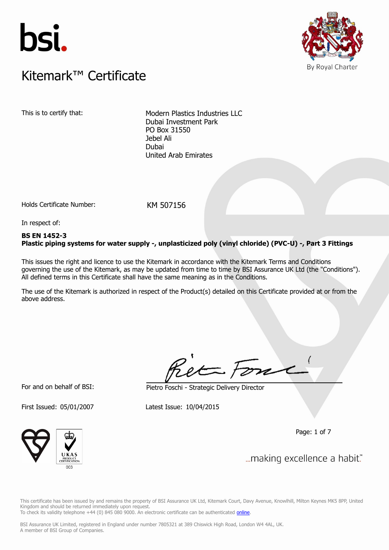



### $K$ itemark $W$  Certificate Kitemark™ Certificate

This is to certify that: Modern Plastics Industries LLC Dubai Investment Park PO Box 31550 Jebel Ali Dubai United Arab Emirates

Holds Certificate Number: KM 507156

In respect of:

### **BS EN 1452-3 Plastic piping systems for water supply -, unplasticized poly (vinyl chloride) (PVC-U) -, Part 3 Fittings**

This issues the right and licence to use the Kitemark in accordance with the Kitemark Terms and Conditions governing the use of the Kitemark, as may be updated from time to time by BSI Assurance UK Ltd (the "Conditions"). All defined terms in this Certificate shall have the same meaning as in the Conditions.

The use of the Kitemark is authorized in respect of the Product(s) detailed on this Certificate provided at or from the above address.

For and on behalf of BSI: Pietro Foschi - Strategic Delivery Director

First Issued: 05/01/2007 Latest Issue: 10/04/2015

Page: 1 of 7



... making excellence a habit."

This certificate has been issued by and remains the property of BSI Assurance UK Ltd, Kitemark Court, Davy Avenue, Knowlhill, Milton Keynes MK5 8PP, United Kingdom and should be returned immediately upon request. To check its validity telephone +44 (0) 845 080 9000. An electronic certificate can be authenticated *[online](https://pgplus.bsigroup.com/CertificateValidation/CertificateValidator.aspx?CertificateNumber=KM+507156&ReIssueDate=10%2f04%2f2015&Template=uk)*.

BSI Assurance UK Limited, registered in England under number 7805321 at 389 Chiswick High Road, London W4 4AL, UK.

A member of BSI Group of Companies.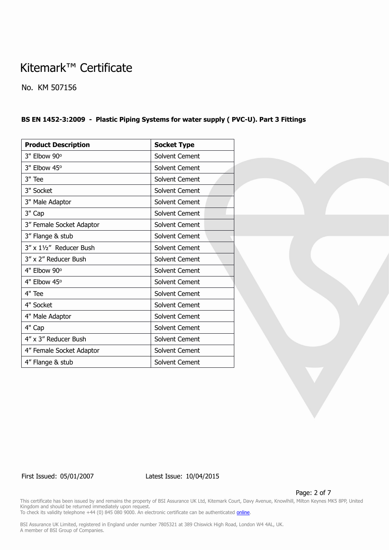No. KM 507156

### **BS EN 1452-3:2009 - Plastic Piping Systems for water supply ( PVC-U). Part 3 Fittings**

| <b>Product Description</b> | <b>Socket Type</b>    |  |
|----------------------------|-----------------------|--|
| 3" Elbow 90°               | Solvent Cement        |  |
| 3" Elbow 45°               | Solvent Cement        |  |
| 3" Tee                     | Solvent Cement        |  |
| 3" Socket                  | Solvent Cement        |  |
| 3" Male Adaptor            | Solvent Cement        |  |
| 3" Cap                     | Solvent Cement        |  |
| 3" Female Socket Adaptor   | Solvent Cement        |  |
| 3" Flange & stub           | Solvent Cement        |  |
| 3" x 11/2" Reducer Bush    | Solvent Cement        |  |
| 3" x 2" Reducer Bush       | Solvent Cement        |  |
| 4" Elbow 90°               | Solvent Cement        |  |
| 4" Elbow 45°               | <b>Solvent Cement</b> |  |
| 4" Tee                     | Solvent Cement        |  |
| 4" Socket                  | Solvent Cement        |  |
| 4" Male Adaptor            | Solvent Cement        |  |
| 4" Cap                     | Solvent Cement        |  |
| 4" x 3" Reducer Bush       | Solvent Cement        |  |
| 4" Female Socket Adaptor   | Solvent Cement        |  |
| 4" Flange & stub           | Solvent Cement        |  |

First Issued: 05/01/2007 Latest Issue: 10/04/2015

Page: 2 of 7

This certificate has been issued by and remains the property of BSI Assurance UK Ltd, Kitemark Court, Davy Avenue, Knowlhill, Milton Keynes MK5 8PP, United Kingdom and should be returned immediately upon request. To check its validity telephone +44 (0) 845 080 9000. An electronic certificate can be authenticated *[online](https://pgplus.bsigroup.com/CertificateValidation/CertificateValidator.aspx?CertificateNumber=KM+507156&ReIssueDate=10%2f04%2f2015&Template=uk)*.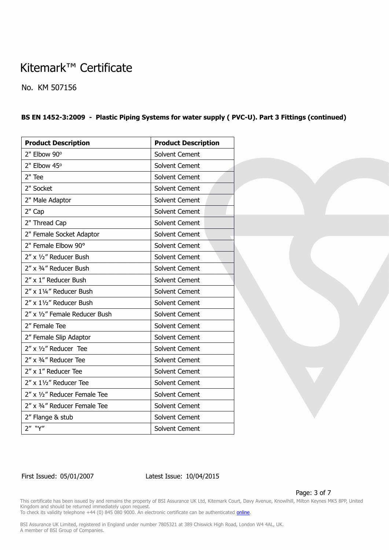No. KM 507156

#### **BS EN 1452-3:2009 - Plastic Piping Systems for water supply ( PVC-U). Part 3 Fittings (continued)**

| <b>Product Description</b>    | <b>Product Description</b> |
|-------------------------------|----------------------------|
| 2" Elbow 90°                  | <b>Solvent Cement</b>      |
| 2" Elbow 45°                  | Solvent Cement             |
| 2" Tee                        | Solvent Cement             |
| 2" Socket                     | Solvent Cement             |
| 2" Male Adaptor               | Solvent Cement             |
| 2" Cap                        | Solvent Cement             |
| 2" Thread Cap                 | Solvent Cement             |
| 2" Female Socket Adaptor      | Solvent Cement             |
| 2" Female Elbow 90°           | Solvent Cement             |
| 2" x 1/2" Reducer Bush        | Solvent Cement             |
| 2" x 3/4" Reducer Bush        | Solvent Cement             |
| 2" x 1" Reducer Bush          | Solvent Cement             |
| 2" x 11/4" Reducer Bush       | Solvent Cement             |
| 2" x 11/2" Reducer Bush       | Solvent Cement             |
| 2" x 1/2" Female Reducer Bush | Solvent Cement             |
| 2" Female Tee                 | Solvent Cement             |
| 2" Female Slip Adaptor        | Solvent Cement             |
| 2" x 1/2" Reducer Tee         | Solvent Cement             |
| 2" x 3/4" Reducer Tee         | Solvent Cement             |
| 2" x 1" Reducer Tee           | Solvent Cement             |
| 2" x 11/2" Reducer Tee        | Solvent Cement             |
| 2" x 1/2" Reducer Female Tee  | Solvent Cement             |
| 2" x 3/4" Reducer Female Tee  | Solvent Cement             |
| 2" Flange & stub              | Solvent Cement             |
| 2" "Y"                        | Solvent Cement             |

First Issued: 05/01/2007 Latest Issue: 10/04/2015

Page: 3 of 7

This certificate has been issued by and remains the property of BSI Assurance UK Ltd, Kitemark Court, Davy Avenue, Knowlhill, Milton Keynes MK5 8PP, United Kingdom and should be returned immediately upon request. To check its validity telephone +44 (0) 845 080 9000. An electronic certificate can be authenticated *[online](https://pgplus.bsigroup.com/CertificateValidation/CertificateValidator.aspx?CertificateNumber=KM+507156&ReIssueDate=10%2f04%2f2015&Template=uk)*.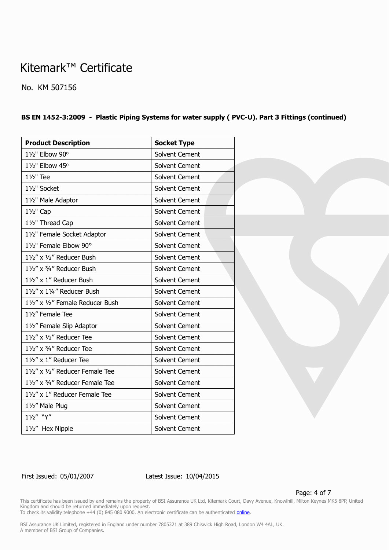No. KM 507156

#### **BS EN 1452-3:2009 - Plastic Piping Systems for water supply ( PVC-U). Part 3 Fittings (continued)**

| <b>Product Description</b>       | <b>Socket Type</b> |
|----------------------------------|--------------------|
| 11/2" Elbow 90°                  | Solvent Cement     |
| 11/2" Elbow 45°                  | Solvent Cement     |
| $1\frac{1}{2}$ " Tee             | Solvent Cement     |
| 11/2" Socket                     | Solvent Cement     |
| 11/2" Male Adaptor               | Solvent Cement     |
| 11/2" Cap                        | Solvent Cement     |
| 11/2" Thread Cap                 | Solvent Cement     |
| 11/2" Female Socket Adaptor      | Solvent Cement     |
| 11/2" Female Elbow 90°           | Solvent Cement     |
| 11/2" x 1/2" Reducer Bush        | Solvent Cement     |
| 11/2" x 3/4" Reducer Bush        | Solvent Cement     |
| 11/2" x 1" Reducer Bush          | Solvent Cement     |
| 11/2" x 11/4" Reducer Bush       | Solvent Cement     |
| 11/2" x 1/2" Female Reducer Bush | Solvent Cement     |
| 11/2" Female Tee                 | Solvent Cement     |
| 11/2" Female Slip Adaptor        | Solvent Cement     |
| 11/2" x 1/2" Reducer Tee         | Solvent Cement     |
| 11/2" x 3/4" Reducer Tee         | Solvent Cement     |
| 11/2" x 1" Reducer Tee           | Solvent Cement     |
| 11/2" x 1/2" Reducer Female Tee  | Solvent Cement     |
| 11/2" x 3/4" Reducer Female Tee  | Solvent Cement     |
| 11/2" x 1" Reducer Female Tee    | Solvent Cement     |
| 11/2" Male Plug                  | Solvent Cement     |
| 11/2" "Y"                        | Solvent Cement     |
| 11/2" Hex Nipple                 | Solvent Cement     |

First Issued: 05/01/2007 Latest Issue: 10/04/2015

Page: 4 of 7

This certificate has been issued by and remains the property of BSI Assurance UK Ltd, Kitemark Court, Davy Avenue, Knowlhill, Milton Keynes MK5 8PP, United Kingdom and should be returned immediately upon request. To check its validity telephone +44 (0) 845 080 9000. An electronic certificate can be authenticated *[online](https://pgplus.bsigroup.com/CertificateValidation/CertificateValidator.aspx?CertificateNumber=KM+507156&ReIssueDate=10%2f04%2f2015&Template=uk)*.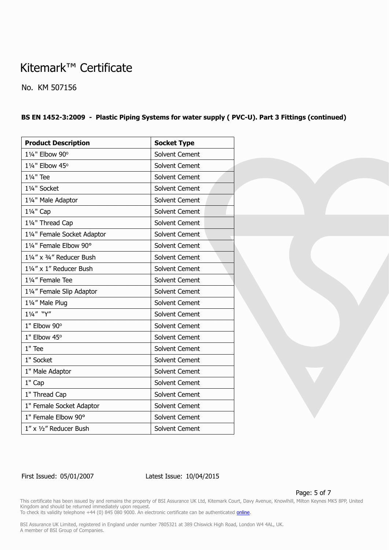No. KM 507156

#### **BS EN 1452-3:2009 - Plastic Piping Systems for water supply ( PVC-U). Part 3 Fittings (continued)**

| <b>Product Description</b>  | <b>Socket Type</b> |
|-----------------------------|--------------------|
| 11/4" Elbow 90°             | Solvent Cement     |
| 11/4" Elbow 45°             | Solvent Cement     |
| 11/ <sub>4</sub> " Tee      | Solvent Cement     |
| 11/4" Socket                | Solvent Cement     |
| 11/4" Male Adaptor          | Solvent Cement     |
| 11/4" Cap                   | Solvent Cement     |
| 11/4" Thread Cap            | Solvent Cement     |
| 11/4" Female Socket Adaptor | Solvent Cement     |
| 11/4" Female Elbow 90°      | Solvent Cement     |
| 11/4" x 3/4" Reducer Bush   | Solvent Cement     |
| 11/4" x 1" Reducer Bush     | Solvent Cement     |
| 11/4" Female Tee            | Solvent Cement     |
| 11/4" Female Slip Adaptor   | Solvent Cement     |
| 11/4" Male Plug             | Solvent Cement     |
| 11/4" "Y"                   | Solvent Cement     |
| 1" Elbow 90°                | Solvent Cement     |
| 1" Elbow 45°                | Solvent Cement     |
| 1" Tee                      | Solvent Cement     |
| 1" Socket                   | Solvent Cement     |
| 1" Male Adaptor             | Solvent Cement     |
| 1" Cap                      | Solvent Cement     |
| 1" Thread Cap               | Solvent Cement     |
| 1" Female Socket Adaptor    | Solvent Cement     |
| 1" Female Elbow 90°         | Solvent Cement     |
| 1" x 1/2" Reducer Bush      | Solvent Cement     |

First Issued: 05/01/2007 Latest Issue: 10/04/2015

Page: 5 of 7

This certificate has been issued by and remains the property of BSI Assurance UK Ltd, Kitemark Court, Davy Avenue, Knowlhill, Milton Keynes MK5 8PP, United Kingdom and should be returned immediately upon request.

To check its validity telephone +44 (0) 845 080 9000. An electronic certificate can be authenticated *[online](https://pgplus.bsigroup.com/CertificateValidation/CertificateValidator.aspx?CertificateNumber=KM+507156&ReIssueDate=10%2f04%2f2015&Template=uk)*.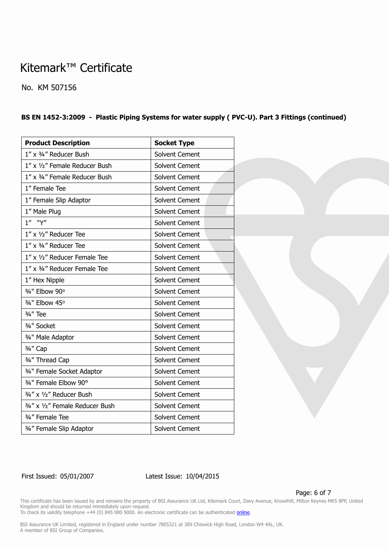No. KM 507156

#### **BS EN 1452-3:2009 - Plastic Piping Systems for water supply ( PVC-U). Part 3 Fittings (continued)**

| <b>Product Description</b>      | <b>Socket Type</b> |
|---------------------------------|--------------------|
| 1" x 3/4" Reducer Bush          | Solvent Cement     |
| 1" x 1/2" Female Reducer Bush   | Solvent Cement     |
| 1" x 3/4" Female Reducer Bush   | Solvent Cement     |
| 1" Female Tee                   | Solvent Cement     |
| 1" Female Slip Adaptor          | Solvent Cement     |
| 1" Male Plug                    | Solvent Cement     |
| $1''$ "Y"                       | Solvent Cement     |
| $1''$ x $1/2''$ Reducer Tee     | Solvent Cement     |
| 1" x 3/4" Reducer Tee           | Solvent Cement     |
| 1" x 1/2" Reducer Female Tee    | Solvent Cement     |
| 1" x 3/4" Reducer Female Tee    | Solvent Cement     |
| 1" Hex Nipple                   | Solvent Cement     |
| 3/4" Elbow 90°                  | Solvent Cement     |
| 3/4" Elbow 45°                  | Solvent Cement     |
| 3/ <sub>4</sub> " Tee           | Solvent Cement     |
| 3/4" Socket                     | Solvent Cement     |
| 3/4" Male Adaptor               | Solvent Cement     |
| 3/ <sub>4</sub> " Cap           | Solvent Cement     |
| 3/4" Thread Cap                 | Solvent Cement     |
| 3/4" Female Socket Adaptor      | Solvent Cement     |
| 3/4" Female Elbow 90°           | Solvent Cement     |
| 3/4" x 1/2" Reducer Bush        | Solvent Cement     |
| 3/4" x 1/2" Female Reducer Bush | Solvent Cement     |
| 3/4" Female Tee                 | Solvent Cement     |
| 3/4" Female Slip Adaptor        | Solvent Cement     |

First Issued: 05/01/2007 Latest Issue: 10/04/2015

Page: 6 of 7

This certificate has been issued by and remains the property of BSI Assurance UK Ltd, Kitemark Court, Davy Avenue, Knowlhill, Milton Keynes MK5 8PP, United Kingdom and should be returned immediately upon request.

To check its validity telephone +44 (0) 845 080 9000. An electronic certificate can be authenticated *[online](https://pgplus.bsigroup.com/CertificateValidation/CertificateValidator.aspx?CertificateNumber=KM+507156&ReIssueDate=10%2f04%2f2015&Template=uk)*.